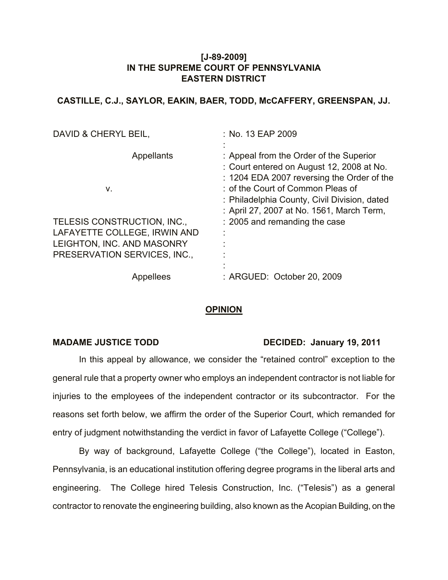## **[J-89-2009] IN THE SUPREME COURT OF PENNSYLVANIA EASTERN DISTRICT**

# **CASTILLE, C.J., SAYLOR, EAKIN, BAER, TODD, McCAFFERY, GREENSPAN, JJ.**

| DAVID & CHERYL BEIL,         | : No. 13 EAP 2009                                                                                                                                                       |
|------------------------------|-------------------------------------------------------------------------------------------------------------------------------------------------------------------------|
| Appellants<br>۷.             | : Appeal from the Order of the Superior<br>: Court entered on August 12, 2008 at No.<br>: 1204 EDA 2007 reversing the Order of the<br>: of the Court of Common Pleas of |
|                              | : Philadelphia County, Civil Division, dated<br>: April 27, 2007 at No. 1561, March Term,                                                                               |
| TELESIS CONSTRUCTION, INC.,  | : 2005 and remanding the case                                                                                                                                           |
| LAFAYETTE COLLEGE, IRWIN AND |                                                                                                                                                                         |
| LEIGHTON, INC. AND MASONRY   |                                                                                                                                                                         |
| PRESERVATION SERVICES, INC., |                                                                                                                                                                         |
|                              |                                                                                                                                                                         |
| Appellees                    | : ARGUED: October 20, 2009                                                                                                                                              |

## **OPINION**

### **MADAME JUSTICE TODD** DECIDED: January 19, 2011

In this appeal by allowance, we consider the "retained control" exception to the general rule that a property owner who employs an independent contractor is not liable for injuries to the employees of the independent contractor or its subcontractor. For the reasons set forth below, we affirm the order of the Superior Court, which remanded for entry of judgment notwithstanding the verdict in favor of Lafayette College ("College").

By way of background, Lafayette College ("the College"), located in Easton, Pennsylvania, is an educational institution offering degree programs in the liberal arts and engineering. The College hired Telesis Construction, Inc. ("Telesis") as a general contractor to renovate the engineering building, also known as the Acopian Building, on the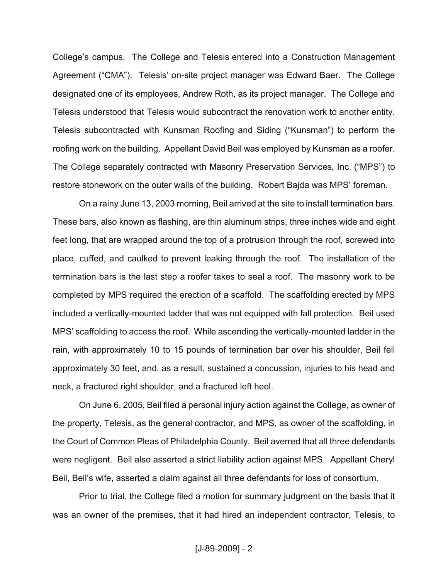College's campus. The College and Telesis entered into a Construction Management Agreement ("CMA"). Telesis' on-site project manager was Edward Baer. The College designated one of its employees, Andrew Roth, as its project manager. The College and Telesis understood that Telesis would subcontract the renovation work to another entity. Telesis subcontracted with Kunsman Roofing and Siding ("Kunsman") to perform the roofing work on the building. Appellant David Beil was employed by Kunsman as a roofer. The College separately contracted with Masonry Preservation Services, Inc. ("MPS") to restore stonework on the outer walls of the building. Robert Bajda was MPS' foreman.

On a rainy June 13, 2003 morning, Beil arrived at the site to install termination bars. These bars, also known as flashing, are thin aluminum strips, three inches wide and eight feet long, that are wrapped around the top of a protrusion through the roof, screwed into place, cuffed, and caulked to prevent leaking through the roof. The installation of the termination bars is the last step a roofer takes to seal a roof. The masonry work to be completed by MPS required the erection of a scaffold. The scaffolding erected by MPS included a vertically-mounted ladder that was not equipped with fall protection. Beil used MPS' scaffolding to access the roof. While ascending the vertically-mounted ladder in the rain, with approximately 10 to 15 pounds of termination bar over his shoulder, Beil fell approximately 30 feet, and, as a result, sustained a concussion, injuries to his head and neck, a fractured right shoulder, and a fractured left heel.

On June 6, 2005, Beil filed a personal injury action against the College, as owner of the property, Telesis, as the general contractor, and MPS, as owner of the scaffolding, in the Court of Common Pleas of Philadelphia County. Beil averred that all three defendants were negligent. Beil also asserted a strict liability action against MPS. Appellant Cheryl Beil, Beil's wife, asserted a claim against all three defendants for loss of consortium.

Prior to trial, the College filed a motion for summary judgment on the basis that it was an owner of the premises, that it had hired an independent contractor, Telesis, to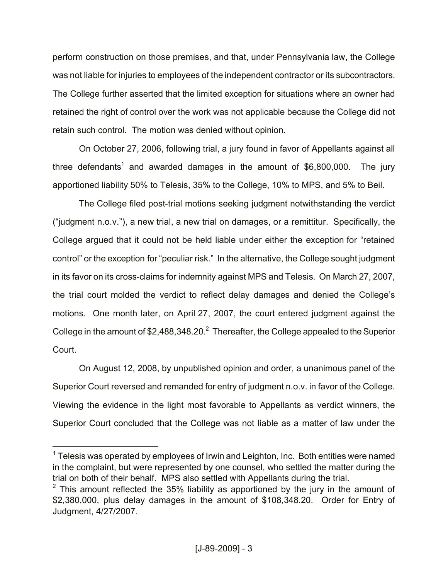perform construction on those premises, and that, under Pennsylvania law, the College was not liable for injuries to employees of the independent contractor or its subcontractors. The College further asserted that the limited exception for situations where an owner had retained the right of control over the work was not applicable because the College did not retain such control. The motion was denied without opinion.

On October 27, 2006, following trial, a jury found in favor of Appellants against all three defendants<sup>1</sup> and awarded damages in the amount of \$6,800,000. The jury apportioned liability 50% to Telesis, 35% to the College, 10% to MPS, and 5% to Beil.

The College filed post-trial motions seeking judgment notwithstanding the verdict ("judgment n.o.v."), a new trial, a new trial on damages, or a remittitur. Specifically, the College argued that it could not be held liable under either the exception for "retained control" or the exception for "peculiar risk." In the alternative, the College sought judgment in its favor on its cross-claims for indemnity against MPS and Telesis. On March 27, 2007, the trial court molded the verdict to reflect delay damages and denied the College's motions. One month later, on April 27, 2007, the court entered judgment against the College in the amount of \$2,488,348.20. $^2$  Thereafter, the College appealed to the Superior Court.

On August 12, 2008, by unpublished opinion and order, a unanimous panel of the Superior Court reversed and remanded for entry of judgment n.o.v. in favor of the College. Viewing the evidence in the light most favorable to Appellants as verdict winners, the Superior Court concluded that the College was not liable as a matter of law under the

 $\overline{a}$ 

 $1$  Telesis was operated by employees of Irwin and Leighton, Inc. Both entities were named in the complaint, but were represented by one counsel, who settled the matter during the trial on both of their behalf. MPS also settled with Appellants during the trial.

 $2$  This amount reflected the 35% liability as apportioned by the jury in the amount of \$2,380,000, plus delay damages in the amount of \$108,348.20. Order for Entry of Judgment, 4/27/2007.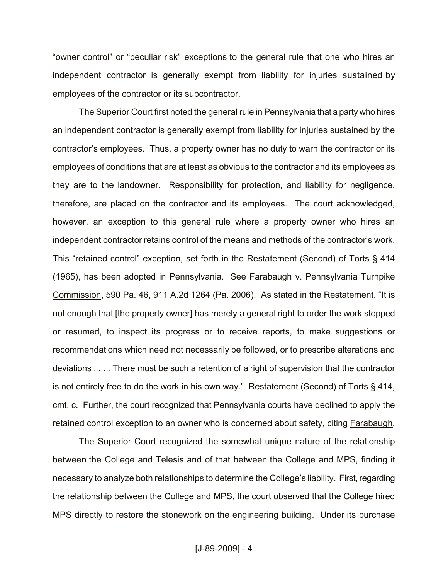"owner control" or "peculiar risk" exceptions to the general rule that one who hires an independent contractor is generally exempt from liability for injuries sustained by employees of the contractor or its subcontractor.

The Superior Court first noted the general rule in Pennsylvania that a party who hires an independent contractor is generally exempt from liability for injuries sustained by the contractor's employees. Thus, a property owner has no duty to warn the contractor or its employees of conditions that are at least as obvious to the contractor and its employees as they are to the landowner. Responsibility for protection, and liability for negligence, therefore, are placed on the contractor and its employees. The court acknowledged, however, an exception to this general rule where a property owner who hires an independent contractor retains control of the means and methods of the contractor's work. This "retained control" exception, set forth in the Restatement (Second) of Torts § 414 (1965), has been adopted in Pennsylvania. See Farabaugh v. Pennsylvania Turnpike Commission, 590 Pa. 46, 911 A.2d 1264 (Pa. 2006). As stated in the Restatement, "It is not enough that [the property owner] has merely a general right to order the work stopped or resumed, to inspect its progress or to receive reports, to make suggestions or recommendations which need not necessarily be followed, or to prescribe alterations and deviations . . . . There must be such a retention of a right of supervision that the contractor is not entirely free to do the work in his own way." Restatement (Second) of Torts § 414, cmt. c. Further, the court recognized that Pennsylvania courts have declined to apply the retained control exception to an owner who is concerned about safety, citing Farabaugh.

The Superior Court recognized the somewhat unique nature of the relationship between the College and Telesis and of that between the College and MPS, finding it necessary to analyze both relationships to determine the College's liability. First, regarding the relationship between the College and MPS, the court observed that the College hired MPS directly to restore the stonework on the engineering building. Under its purchase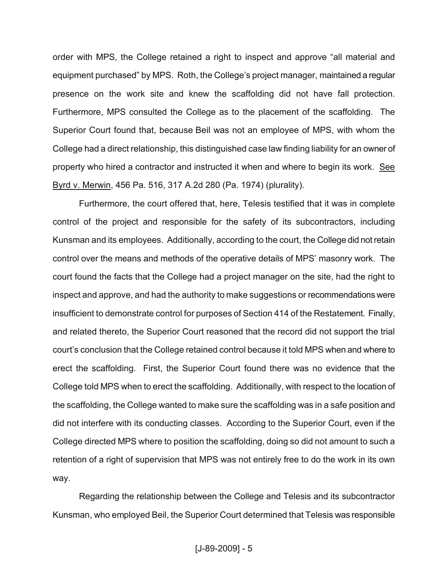order with MPS, the College retained a right to inspect and approve "all material and equipment purchased" by MPS. Roth, the College's project manager, maintained a regular presence on the work site and knew the scaffolding did not have fall protection. Furthermore, MPS consulted the College as to the placement of the scaffolding. The Superior Court found that, because Beil was not an employee of MPS, with whom the College had a direct relationship, this distinguished case law finding liability for an owner of property who hired a contractor and instructed it when and where to begin its work. See Byrd v. Merwin, 456 Pa. 516, 317 A.2d 280 (Pa. 1974) (plurality).

Furthermore, the court offered that, here, Telesis testified that it was in complete control of the project and responsible for the safety of its subcontractors, including Kunsman and its employees. Additionally, according to the court, the College did not retain control over the means and methods of the operative details of MPS' masonry work. The court found the facts that the College had a project manager on the site, had the right to inspect and approve, and had the authority to make suggestions or recommendations were insufficient to demonstrate control for purposes of Section 414 of the Restatement. Finally, and related thereto, the Superior Court reasoned that the record did not support the trial court's conclusion that the College retained control because it told MPS when and where to erect the scaffolding. First, the Superior Court found there was no evidence that the College told MPS when to erect the scaffolding. Additionally, with respect to the location of the scaffolding, the College wanted to make sure the scaffolding was in a safe position and did not interfere with its conducting classes. According to the Superior Court, even if the College directed MPS where to position the scaffolding, doing so did not amount to such a retention of a right of supervision that MPS was not entirely free to do the work in its own way.

Regarding the relationship between the College and Telesis and its subcontractor Kunsman, who employed Beil, the Superior Court determined that Telesis was responsible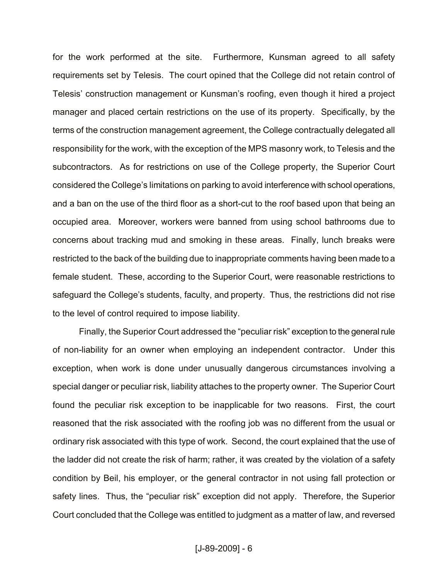for the work performed at the site. Furthermore, Kunsman agreed to all safety requirements set by Telesis. The court opined that the College did not retain control of Telesis' construction management or Kunsman's roofing, even though it hired a project manager and placed certain restrictions on the use of its property. Specifically, by the terms of the construction management agreement, the College contractually delegated all responsibility for the work, with the exception of the MPS masonry work, to Telesis and the subcontractors. As for restrictions on use of the College property, the Superior Court considered the College's limitations on parking to avoid interference with school operations, and a ban on the use of the third floor as a short-cut to the roof based upon that being an occupied area. Moreover, workers were banned from using school bathrooms due to concerns about tracking mud and smoking in these areas. Finally, lunch breaks were restricted to the back of the building due to inappropriate comments having been made to a female student. These, according to the Superior Court, were reasonable restrictions to safeguard the College's students, faculty, and property. Thus, the restrictions did not rise to the level of control required to impose liability.

Finally, the Superior Court addressed the "peculiar risk" exception to the general rule of non-liability for an owner when employing an independent contractor. Under this exception, when work is done under unusually dangerous circumstances involving a special danger or peculiar risk, liability attaches to the property owner. The Superior Court found the peculiar risk exception to be inapplicable for two reasons. First, the court reasoned that the risk associated with the roofing job was no different from the usual or ordinary risk associated with this type of work. Second, the court explained that the use of the ladder did not create the risk of harm; rather, it was created by the violation of a safety condition by Beil, his employer, or the general contractor in not using fall protection or safety lines. Thus, the "peculiar risk" exception did not apply. Therefore, the Superior Court concluded that the College was entitled to judgment as a matter of law, and reversed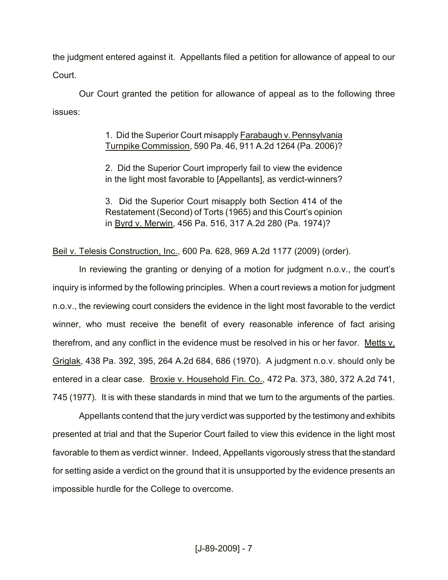the judgment entered against it. Appellants filed a petition for allowance of appeal to our Court.

Our Court granted the petition for allowance of appeal as to the following three issues:

> 1. Did the Superior Court misapply Farabaugh v. Pennsylvania Turnpike Commission, 590 Pa. 46, 911 A.2d 1264 (Pa. 2006)?

> 2. Did the Superior Court improperly fail to view the evidence in the light most favorable to [Appellants], as verdict-winners?

> 3. Did the Superior Court misapply both Section 414 of the Restatement (Second) of Torts (1965) and this Court's opinion in Byrd v. Merwin, 456 Pa. 516, 317 A.2d 280 (Pa. 1974)?

Beil v. Telesis Construction, Inc., 600 Pa. 628, 969 A.2d 1177 (2009) (order).

In reviewing the granting or denying of a motion for judgment n.o.v., the court's inquiry is informed by the following principles. When a court reviews a motion for judgment n.o.v., the reviewing court considers the evidence in the light most favorable to the verdict winner, who must receive the benefit of every reasonable inference of fact arising therefrom, and any conflict in the evidence must be resolved in his or her favor. Metts v. Griglak, 438 Pa. 392, 395, 264 A.2d 684, 686 (1970). A judgment n.o.v. should only be entered in a clear case. Broxie v. Household Fin. Co., 472 Pa. 373, 380, 372 A.2d 741, 745 (1977). It is with these standards in mind that we turn to the arguments of the parties.

Appellants contend that the jury verdict was supported by the testimony and exhibits presented at trial and that the Superior Court failed to view this evidence in the light most favorable to them as verdict winner. Indeed, Appellants vigorously stress that the standard for setting aside a verdict on the ground that it is unsupported by the evidence presents an impossible hurdle for the College to overcome.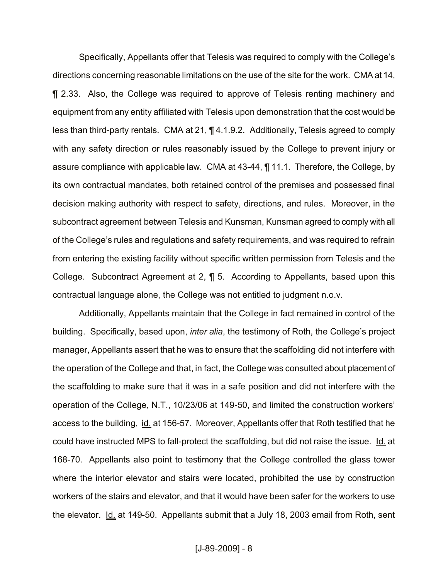Specifically, Appellants offer that Telesis was required to comply with the College's directions concerning reasonable limitations on the use of the site for the work. CMA at 14, ¶ 2.33. Also, the College was required to approve of Telesis renting machinery and equipment from any entity affiliated with Telesis upon demonstration that the cost would be less than third-party rentals. CMA at 21, ¶ 4.1.9.2. Additionally, Telesis agreed to comply with any safety direction or rules reasonably issued by the College to prevent injury or assure compliance with applicable law. CMA at 43-44, ¶ 11.1. Therefore, the College, by its own contractual mandates, both retained control of the premises and possessed final decision making authority with respect to safety, directions, and rules. Moreover, in the subcontract agreement between Telesis and Kunsman, Kunsman agreed to comply with all of the College's rules and regulations and safety requirements, and was required to refrain from entering the existing facility without specific written permission from Telesis and the College. Subcontract Agreement at 2, ¶ 5. According to Appellants, based upon this contractual language alone, the College was not entitled to judgment n.o.v.

Additionally, Appellants maintain that the College in fact remained in control of the building. Specifically, based upon, *inter alia*, the testimony of Roth, the College's project manager, Appellants assert that he was to ensure that the scaffolding did not interfere with the operation of the College and that, in fact, the College was consulted about placement of the scaffolding to make sure that it was in a safe position and did not interfere with the operation of the College, N.T., 10/23/06 at 149-50, and limited the construction workers' access to the building, id. at 156-57. Moreover, Appellants offer that Roth testified that he could have instructed MPS to fall-protect the scaffolding, but did not raise the issue. Id. at 168-70. Appellants also point to testimony that the College controlled the glass tower where the interior elevator and stairs were located, prohibited the use by construction workers of the stairs and elevator, and that it would have been safer for the workers to use the elevator. Id. at 149-50. Appellants submit that a July 18, 2003 email from Roth, sent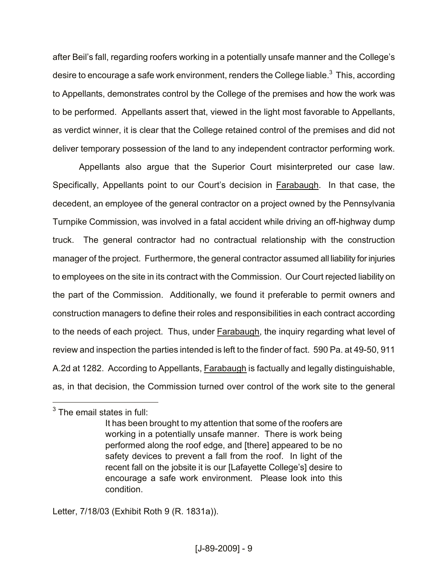after Beil's fall, regarding roofers working in a potentially unsafe manner and the College's desire to encourage a safe work environment, renders the College liable. $^3\,$  This, according to Appellants, demonstrates control by the College of the premises and how the work was to be performed. Appellants assert that, viewed in the light most favorable to Appellants, as verdict winner, it is clear that the College retained control of the premises and did not deliver temporary possession of the land to any independent contractor performing work.

Appellants also argue that the Superior Court misinterpreted our case law. Specifically, Appellants point to our Court's decision in Farabaugh. In that case, the decedent, an employee of the general contractor on a project owned by the Pennsylvania Turnpike Commission, was involved in a fatal accident while driving an off-highway dump truck. The general contractor had no contractual relationship with the construction manager of the project. Furthermore, the general contractor assumed all liability for injuries to employees on the site in its contract with the Commission. Our Court rejected liability on the part of the Commission. Additionally, we found it preferable to permit owners and construction managers to define their roles and responsibilities in each contract according to the needs of each project. Thus, under **Farabaugh**, the inquiry regarding what level of review and inspection the parties intended is left to the finder of fact. 590 Pa. at 49-50, 911 A.2d at 1282. According to Appellants, Farabaugh is factually and legally distinguishable, as, in that decision, the Commission turned over control of the work site to the general

 $\overline{a}$ 

Letter, 7/18/03 (Exhibit Roth 9 (R. 1831a)).

 $3$  The email states in full:

It has been brought to my attention that some of the roofers are working in a potentially unsafe manner. There is work being performed along the roof edge, and [there] appeared to be no safety devices to prevent a fall from the roof. In light of the recent fall on the jobsite it is our [Lafayette College's] desire to encourage a safe work environment. Please look into this condition.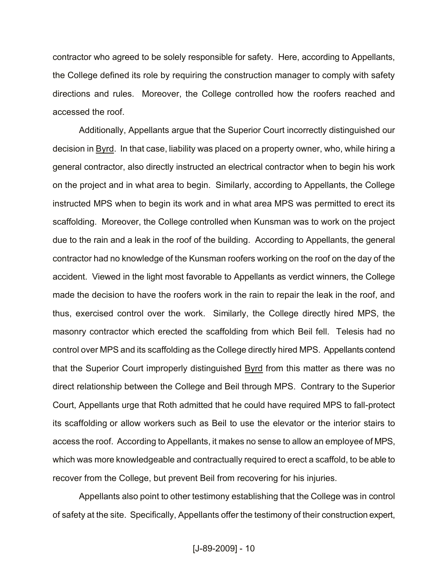contractor who agreed to be solely responsible for safety. Here, according to Appellants, the College defined its role by requiring the construction manager to comply with safety directions and rules. Moreover, the College controlled how the roofers reached and accessed the roof.

Additionally, Appellants argue that the Superior Court incorrectly distinguished our decision in Byrd. In that case, liability was placed on a property owner, who, while hiring a general contractor, also directly instructed an electrical contractor when to begin his work on the project and in what area to begin. Similarly, according to Appellants, the College instructed MPS when to begin its work and in what area MPS was permitted to erect its scaffolding. Moreover, the College controlled when Kunsman was to work on the project due to the rain and a leak in the roof of the building. According to Appellants, the general contractor had no knowledge of the Kunsman roofers working on the roof on the day of the accident. Viewed in the light most favorable to Appellants as verdict winners, the College made the decision to have the roofers work in the rain to repair the leak in the roof, and thus, exercised control over the work. Similarly, the College directly hired MPS, the masonry contractor which erected the scaffolding from which Beil fell. Telesis had no control over MPS and its scaffolding as the College directly hired MPS. Appellants contend that the Superior Court improperly distinguished **Byrd** from this matter as there was no direct relationship between the College and Beil through MPS. Contrary to the Superior Court, Appellants urge that Roth admitted that he could have required MPS to fall-protect its scaffolding or allow workers such as Beil to use the elevator or the interior stairs to access the roof. According to Appellants, it makes no sense to allow an employee of MPS, which was more knowledgeable and contractually required to erect a scaffold, to be able to recover from the College, but prevent Beil from recovering for his injuries.

Appellants also point to other testimony establishing that the College was in control of safety at the site. Specifically, Appellants offer the testimony of their construction expert,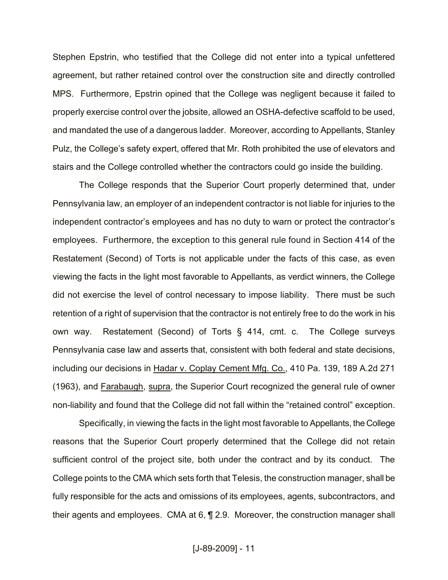Stephen Epstrin, who testified that the College did not enter into a typical unfettered agreement, but rather retained control over the construction site and directly controlled MPS. Furthermore, Epstrin opined that the College was negligent because it failed to properly exercise control over the jobsite, allowed an OSHA-defective scaffold to be used, and mandated the use of a dangerous ladder. Moreover, according to Appellants, Stanley Pulz, the College's safety expert, offered that Mr. Roth prohibited the use of elevators and stairs and the College controlled whether the contractors could go inside the building.

The College responds that the Superior Court properly determined that, under Pennsylvania law, an employer of an independent contractor is not liable for injuries to the independent contractor's employees and has no duty to warn or protect the contractor's employees. Furthermore, the exception to this general rule found in Section 414 of the Restatement (Second) of Torts is not applicable under the facts of this case, as even viewing the facts in the light most favorable to Appellants, as verdict winners, the College did not exercise the level of control necessary to impose liability. There must be such retention of a right of supervision that the contractor is not entirely free to do the work in his own way. Restatement (Second) of Torts § 414, cmt. c. The College surveys Pennsylvania case law and asserts that, consistent with both federal and state decisions, including our decisions in Hadar v. Coplay Cement Mfg. Co., 410 Pa. 139, 189 A.2d 271 (1963), and Farabaugh, supra, the Superior Court recognized the general rule of owner non-liability and found that the College did not fall within the "retained control" exception.

Specifically, in viewing the facts in the light most favorable to Appellants, the College reasons that the Superior Court properly determined that the College did not retain sufficient control of the project site, both under the contract and by its conduct. The College points to the CMA which sets forth that Telesis, the construction manager, shall be fully responsible for the acts and omissions of its employees, agents, subcontractors, and their agents and employees. CMA at 6, ¶ 2.9. Moreover, the construction manager shall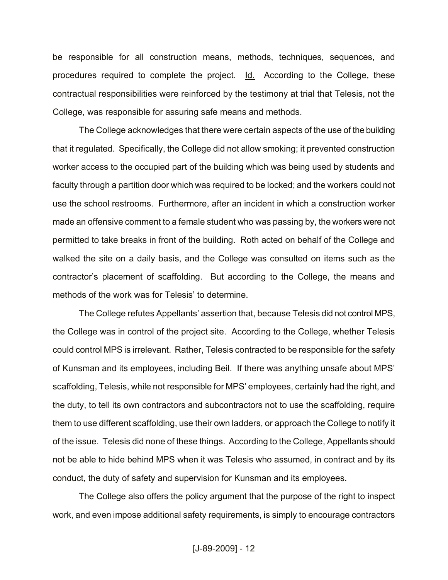be responsible for all construction means, methods, techniques, sequences, and procedures required to complete the project. Id. According to the College, these contractual responsibilities were reinforced by the testimony at trial that Telesis, not the College, was responsible for assuring safe means and methods.

The College acknowledges that there were certain aspects of the use of the building that it regulated. Specifically, the College did not allow smoking; it prevented construction worker access to the occupied part of the building which was being used by students and faculty through a partition door which was required to be locked; and the workers could not use the school restrooms. Furthermore, after an incident in which a construction worker made an offensive comment to a female student who was passing by, the workers were not permitted to take breaks in front of the building. Roth acted on behalf of the College and walked the site on a daily basis, and the College was consulted on items such as the contractor's placement of scaffolding. But according to the College, the means and methods of the work was for Telesis' to determine.

The College refutes Appellants' assertion that, because Telesis did not control MPS, the College was in control of the project site. According to the College, whether Telesis could control MPS is irrelevant. Rather, Telesis contracted to be responsible for the safety of Kunsman and its employees, including Beil. If there was anything unsafe about MPS' scaffolding, Telesis, while not responsible for MPS' employees, certainly had the right, and the duty, to tell its own contractors and subcontractors not to use the scaffolding, require them to use different scaffolding, use their own ladders, or approach the College to notify it of the issue. Telesis did none of these things. According to the College, Appellants should not be able to hide behind MPS when it was Telesis who assumed, in contract and by its conduct, the duty of safety and supervision for Kunsman and its employees.

The College also offers the policy argument that the purpose of the right to inspect work, and even impose additional safety requirements, is simply to encourage contractors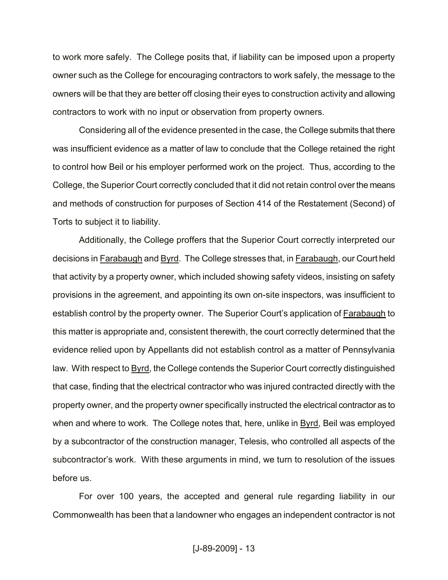to work more safely. The College posits that, if liability can be imposed upon a property owner such as the College for encouraging contractors to work safely, the message to the owners will be that they are better off closing their eyes to construction activity and allowing contractors to work with no input or observation from property owners.

Considering all of the evidence presented in the case, the College submits that there was insufficient evidence as a matter of law to conclude that the College retained the right to control how Beil or his employer performed work on the project. Thus, according to the College, the Superior Court correctly concluded that it did not retain control over the means and methods of construction for purposes of Section 414 of the Restatement (Second) of Torts to subject it to liability.

Additionally, the College proffers that the Superior Court correctly interpreted our decisions in Farabaugh and Byrd. The College stresses that, in Farabaugh, our Court held that activity by a property owner, which included showing safety videos, insisting on safety provisions in the agreement, and appointing its own on-site inspectors, was insufficient to establish control by the property owner. The Superior Court's application of Farabaugh to this matter is appropriate and, consistent therewith, the court correctly determined that the evidence relied upon by Appellants did not establish control as a matter of Pennsylvania law. With respect to **Byrd**, the College contends the Superior Court correctly distinguished that case, finding that the electrical contractor who was injured contracted directly with the property owner, and the property owner specifically instructed the electrical contractor as to when and where to work. The College notes that, here, unlike in Byrd, Beil was employed by a subcontractor of the construction manager, Telesis, who controlled all aspects of the subcontractor's work. With these arguments in mind, we turn to resolution of the issues before us.

For over 100 years, the accepted and general rule regarding liability in our Commonwealth has been that a landowner who engages an independent contractor is not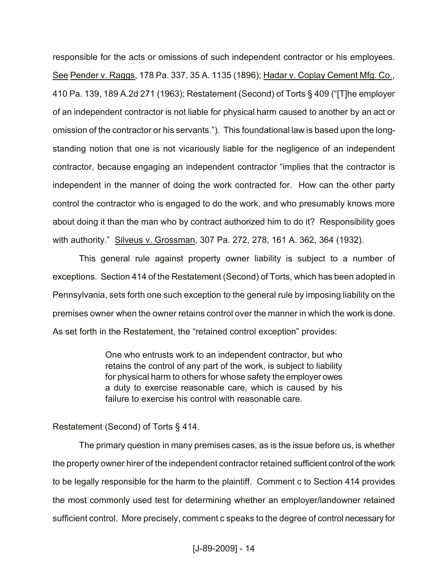responsible for the acts or omissions of such independent contractor or his employees. See Pender v. Raggs, 178 Pa. 337, 35 A. 1135 (1896); Hadar v. Coplay Cement Mfg. Co., 410 Pa. 139, 189 A.2d 271 (1963); Restatement (Second) of Torts § 409 ("[T]he employer of an independent contractor is not liable for physical harm caused to another by an act or omission of the contractor or his servants."). This foundational law is based upon the longstanding notion that one is not vicariously liable for the negligence of an independent contractor, because engaging an independent contractor "implies that the contractor is independent in the manner of doing the work contracted for. How can the other party control the contractor who is engaged to do the work, and who presumably knows more about doing it than the man who by contract authorized him to do it? Responsibility goes with authority." Silveus v. Grossman, 307 Pa. 272, 278, 161 A. 362, 364 (1932).

This general rule against property owner liability is subject to a number of exceptions. Section 414 of the Restatement (Second) of Torts, which has been adopted in Pennsylvania, sets forth one such exception to the general rule by imposing liability on the premises owner when the owner retains control over the manner in which the work is done. As set forth in the Restatement, the "retained control exception" provides:

> One who entrusts work to an independent contractor, but who retains the control of any part of the work, is subject to liability for physical harm to others for whose safety the employer owes a duty to exercise reasonable care, which is caused by his failure to exercise his control with reasonable care.

### Restatement (Second) of Torts § 414.

The primary question in many premises cases, as is the issue before us, is whether the property owner hirer of the independent contractor retained sufficient control of the work to be legally responsible for the harm to the plaintiff. Comment c to Section 414 provides the most commonly used test for determining whether an employer/landowner retained sufficient control. More precisely, comment c speaks to the degree of control necessary for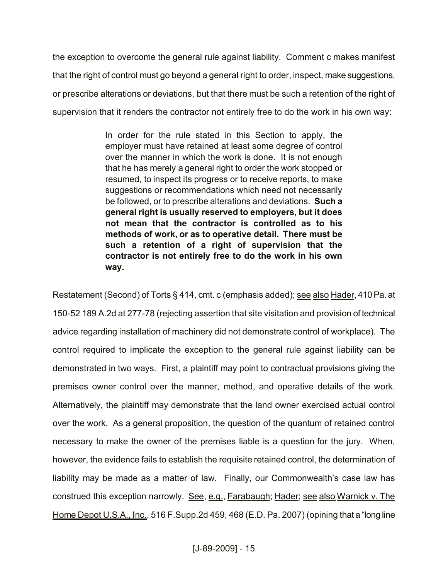the exception to overcome the general rule against liability. Comment c makes manifest that the right of control must go beyond a general right to order, inspect, make suggestions, or prescribe alterations or deviations, but that there must be such a retention of the right of supervision that it renders the contractor not entirely free to do the work in his own way:

> In order for the rule stated in this Section to apply, the employer must have retained at least some degree of control over the manner in which the work is done. It is not enough that he has merely a general right to order the work stopped or resumed, to inspect its progress or to receive reports, to make suggestions or recommendations which need not necessarily be followed, or to prescribe alterations and deviations. **Such a general right is usually reserved to employers, but it does not mean that the contractor is controlled as to his methods of work, or as to operative detail. There must be such a retention of a right of supervision that the contractor is not entirely free to do the work in his own way.**

Restatement (Second) of Torts § 414, cmt. c (emphasis added); see also Hader, 410 Pa. at 150-52 189 A.2d at 277-78 (rejecting assertion that site visitation and provision of technical advice regarding installation of machinery did not demonstrate control of workplace). The control required to implicate the exception to the general rule against liability can be demonstrated in two ways. First, a plaintiff may point to contractual provisions giving the premises owner control over the manner, method, and operative details of the work. Alternatively, the plaintiff may demonstrate that the land owner exercised actual control over the work. As a general proposition, the question of the quantum of retained control necessary to make the owner of the premises liable is a question for the jury. When, however, the evidence fails to establish the requisite retained control, the determination of liability may be made as a matter of law. Finally, our Commonwealth's case law has construed this exception narrowly. See, e.g., Farabaugh; Hader; see also Warnick v. The Home Depot U.S.A., Inc., 516 F.Supp.2d 459, 468 (E.D. Pa. 2007) (opining that a "long line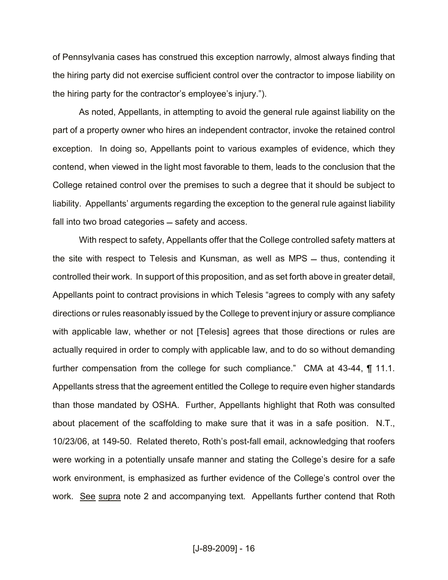of Pennsylvania cases has construed this exception narrowly, almost always finding that the hiring party did not exercise sufficient control over the contractor to impose liability on the hiring party for the contractor's employee's injury.").

As noted, Appellants, in attempting to avoid the general rule against liability on the part of a property owner who hires an independent contractor, invoke the retained control exception. In doing so, Appellants point to various examples of evidence, which they contend, when viewed in the light most favorable to them, leads to the conclusion that the College retained control over the premises to such a degree that it should be subject to liability. Appellants' arguments regarding the exception to the general rule against liability fall into two broad categories – safety and access.

With respect to safety, Appellants offer that the College controlled safety matters at the site with respect to Telesis and Kunsman, as well as MPS  $-$  thus, contending it controlled their work. In support of this proposition, and as set forth above in greater detail, Appellants point to contract provisions in which Telesis "agrees to comply with any safety directions or rules reasonably issued by the College to prevent injury or assure compliance with applicable law, whether or not [Telesis] agrees that those directions or rules are actually required in order to comply with applicable law, and to do so without demanding further compensation from the college for such compliance." CMA at 43-44, ¶ 11.1. Appellants stress that the agreement entitled the College to require even higher standards than those mandated by OSHA. Further, Appellants highlight that Roth was consulted about placement of the scaffolding to make sure that it was in a safe position. N.T., 10/23/06, at 149-50. Related thereto, Roth's post-fall email, acknowledging that roofers were working in a potentially unsafe manner and stating the College's desire for a safe work environment, is emphasized as further evidence of the College's control over the work. See supra note 2 and accompanying text. Appellants further contend that Roth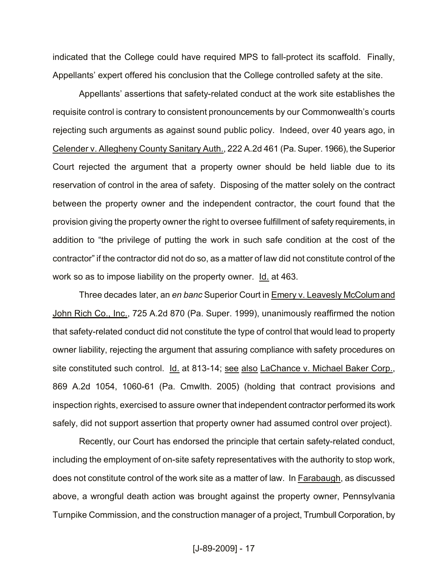indicated that the College could have required MPS to fall-protect its scaffold. Finally, Appellants' expert offered his conclusion that the College controlled safety at the site.

Appellants' assertions that safety-related conduct at the work site establishes the requisite control is contrary to consistent pronouncements by our Commonwealth's courts rejecting such arguments as against sound public policy. Indeed, over 40 years ago, in Celender v. Allegheny County Sanitary Auth., 222 A.2d 461 (Pa. Super. 1966), the Superior Court rejected the argument that a property owner should be held liable due to its reservation of control in the area of safety. Disposing of the matter solely on the contract between the property owner and the independent contractor, the court found that the provision giving the property owner the right to oversee fulfillment of safety requirements, in addition to "the privilege of putting the work in such safe condition at the cost of the contractor" if the contractor did not do so, as a matter of law did not constitute control of the work so as to impose liability on the property owner. Id. at 463.

Three decades later, an *en banc* Superior Court in Emery v. Leavesly McColum and John Rich Co., Inc., 725 A.2d 870 (Pa. Super. 1999), unanimously reaffirmed the notion that safety-related conduct did not constitute the type of control that would lead to property owner liability, rejecting the argument that assuring compliance with safety procedures on site constituted such control. Id. at 813-14; see also LaChance v. Michael Baker Corp., 869 A.2d 1054, 1060-61 (Pa. Cmwlth. 2005) (holding that contract provisions and inspection rights, exercised to assure owner that independent contractor performed its work safely, did not support assertion that property owner had assumed control over project).

Recently, our Court has endorsed the principle that certain safety-related conduct, including the employment of on-site safety representatives with the authority to stop work, does not constitute control of the work site as a matter of law. In Farabaugh, as discussed above, a wrongful death action was brought against the property owner, Pennsylvania Turnpike Commission, and the construction manager of a project, Trumbull Corporation, by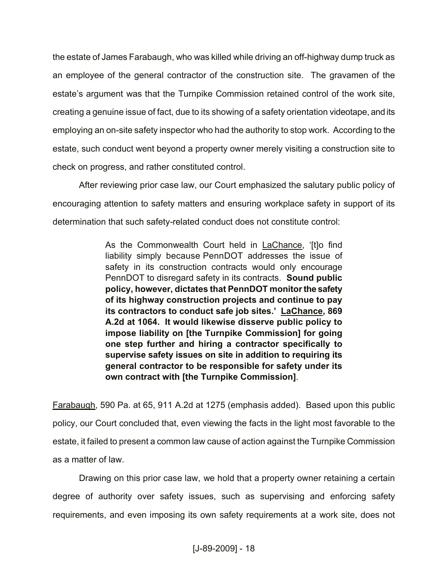the estate of James Farabaugh, who was killed while driving an off-highway dump truck as an employee of the general contractor of the construction site. The gravamen of the estate's argument was that the Turnpike Commission retained control of the work site, creating a genuine issue of fact, due to its showing of a safety orientation videotape, and its employing an on-site safety inspector who had the authority to stop work. According to the estate, such conduct went beyond a property owner merely visiting a construction site to check on progress, and rather constituted control.

After reviewing prior case law, our Court emphasized the salutary public policy of encouraging attention to safety matters and ensuring workplace safety in support of its determination that such safety-related conduct does not constitute control:

> As the Commonwealth Court held in LaChance, '[t]o find liability simply because PennDOT addresses the issue of safety in its construction contracts would only encourage PennDOT to disregard safety in its contracts. **Sound public policy, however, dictates that PennDOT monitor the safety of its highway construction projects and continue to pay its contractors to conduct safe job sites.' LaChance, 869 A.2d at 1064. It would likewise disserve public policy to impose liability on [the Turnpike Commission] for going one step further and hiring a contractor specifically to supervise safety issues on site in addition to requiring its general contractor to be responsible for safety under its own contract with [the Turnpike Commission]**.

Farabaugh, 590 Pa. at 65, 911 A.2d at 1275 (emphasis added). Based upon this public policy, our Court concluded that, even viewing the facts in the light most favorable to the estate, it failed to present a common law cause of action against the Turnpike Commission as a matter of law.

Drawing on this prior case law, we hold that a property owner retaining a certain degree of authority over safety issues, such as supervising and enforcing safety requirements, and even imposing its own safety requirements at a work site, does not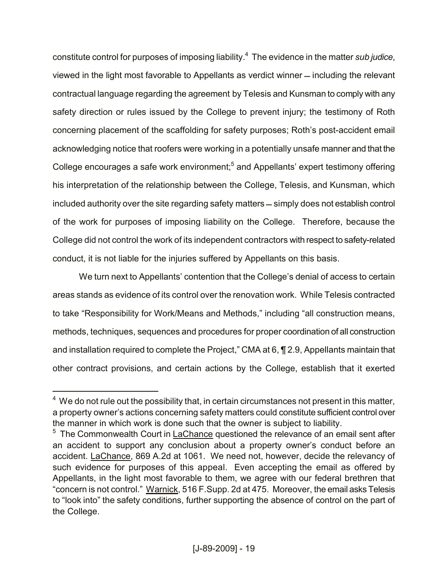constitute control for purposes of imposing liability.<sup>4</sup> The evidence in the matter *sub judice*, viewed in the light most favorable to Appellants as verdict winner including the relevant contractual language regarding the agreement by Telesis and Kunsman to comply with any safety direction or rules issued by the College to prevent injury; the testimony of Roth concerning placement of the scaffolding for safety purposes; Roth's post-accident email acknowledging notice that roofers were working in a potentially unsafe manner and that the College encourages a safe work environment; $<sup>5</sup>$  and Appellants' expert testimony offering</sup> his interpretation of the relationship between the College, Telesis, and Kunsman, which included authority over the site regarding safety matters - simply does not establish control of the work for purposes of imposing liability on the College. Therefore, because the College did not control the work of its independent contractors with respect to safety-related conduct, it is not liable for the injuries suffered by Appellants on this basis.

We turn next to Appellants' contention that the College's denial of access to certain areas stands as evidence of its control over the renovation work. While Telesis contracted to take "Responsibility for Work/Means and Methods," including "all construction means, methods, techniques, sequences and procedures for proper coordination of all construction and installation required to complete the Project," CMA at 6, ¶ 2.9, Appellants maintain that other contract provisions, and certain actions by the College, establish that it exerted

 $\overline{a}$ 

 $4\,$  We do not rule out the possibility that, in certain circumstances not present in this matter, a property owner's actions concerning safety matters could constitute sufficient control over the manner in which work is done such that the owner is subject to liability.

<sup>&</sup>lt;sup>5</sup> The Commonwealth Court in LaChance questioned the relevance of an email sent after an accident to support any conclusion about a property owner's conduct before an accident. LaChance, 869 A.2d at 1061. We need not, however, decide the relevancy of such evidence for purposes of this appeal. Even accepting the email as offered by Appellants, in the light most favorable to them, we agree with our federal brethren that "concern is not control." Warnick, 516 F.Supp. 2d at 475. Moreover, the email asks Telesis to "look into" the safety conditions, further supporting the absence of control on the part of the College.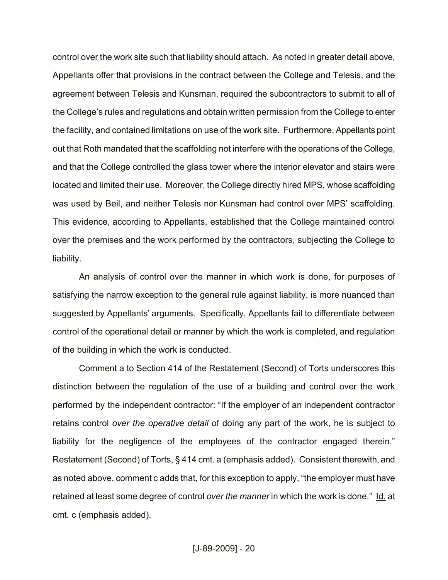control over the work site such that liability should attach. As noted in greater detail above, Appellants offer that provisions in the contract between the College and Telesis, and the agreement between Telesis and Kunsman, required the subcontractors to submit to all of the College's rules and regulations and obtain written permission from the College to enter the facility, and contained limitations on use of the work site. Furthermore, Appellants point out that Roth mandated that the scaffolding not interfere with the operations of the College, and that the College controlled the glass tower where the interior elevator and stairs were located and limited their use. Moreover, the College directly hired MPS, whose scaffolding was used by Beil, and neither Telesis nor Kunsman had control over MPS' scaffolding. This evidence, according to Appellants, established that the College maintained control over the premises and the work performed by the contractors, subjecting the College to liability.

An analysis of control over the manner in which work is done, for purposes of satisfying the narrow exception to the general rule against liability, is more nuanced than suggested by Appellants' arguments. Specifically, Appellants fail to differentiate between control of the operational detail or manner by which the work is completed, and regulation of the building in which the work is conducted.

Comment a to Section 414 of the Restatement (Second) of Torts underscores this distinction between the regulation of the use of a building and control over the work performed by the independent contractor: "If the employer of an independent contractor retains control *over the operative detail* of doing any part of the work, he is subject to liability for the negligence of the employees of the contractor engaged therein." Restatement (Second) of Torts, § 414 cmt. a (emphasis added). Consistent therewith, and as noted above, comment c adds that, for this exception to apply, "the employer must have retained at least some degree of control *over the manner* in which the work is done." Id. at cmt. c (emphasis added).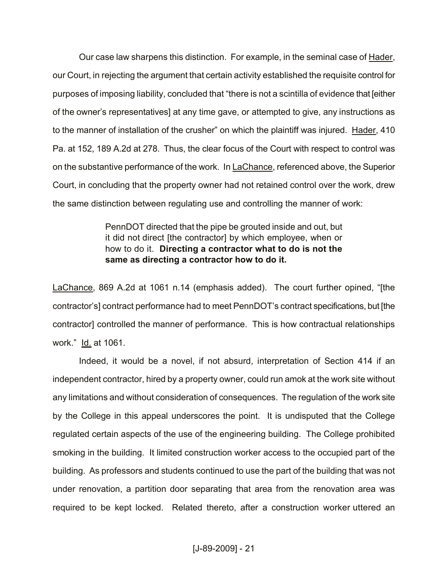Our case law sharpens this distinction. For example, in the seminal case of Hader, our Court, in rejecting the argument that certain activity established the requisite control for purposes of imposing liability, concluded that "there is not a scintilla of evidence that [either of the owner's representatives] at any time gave, or attempted to give, any instructions as to the manner of installation of the crusher" on which the plaintiff was injured. Hader, 410 Pa. at 152, 189 A.2d at 278. Thus, the clear focus of the Court with respect to control was on the substantive performance of the work. In LaChance, referenced above, the Superior Court, in concluding that the property owner had not retained control over the work, drew the same distinction between regulating use and controlling the manner of work:

> PennDOT directed that the pipe be grouted inside and out, but it did not direct [the contractor] by which employee, when or how to do it. **Directing a contractor what to do is not the same as directing a contractor how to do it.**

LaChance, 869 A.2d at 1061 n.14 (emphasis added). The court further opined, "[the contractor's] contract performance had to meet PennDOT's contract specifications, but [the contractor] controlled the manner of performance. This is how contractual relationships work." Id. at 1061.

Indeed, it would be a novel, if not absurd, interpretation of Section 414 if an independent contractor, hired by a property owner, could run amok at the work site without any limitations and without consideration of consequences. The regulation of the work site by the College in this appeal underscores the point. It is undisputed that the College regulated certain aspects of the use of the engineering building. The College prohibited smoking in the building. It limited construction worker access to the occupied part of the building. As professors and students continued to use the part of the building that was not under renovation, a partition door separating that area from the renovation area was required to be kept locked. Related thereto, after a construction worker uttered an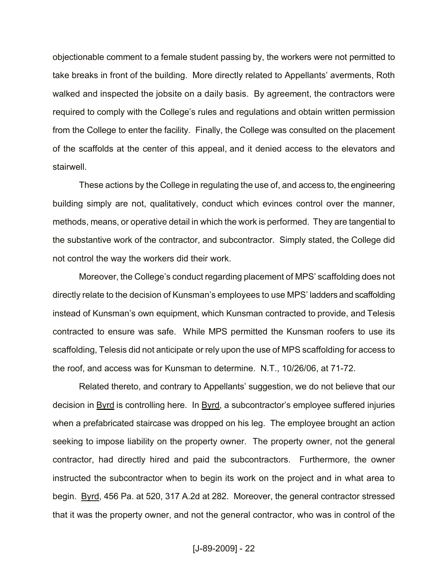objectionable comment to a female student passing by, the workers were not permitted to take breaks in front of the building. More directly related to Appellants' averments, Roth walked and inspected the jobsite on a daily basis. By agreement, the contractors were required to comply with the College's rules and regulations and obtain written permission from the College to enter the facility. Finally, the College was consulted on the placement of the scaffolds at the center of this appeal, and it denied access to the elevators and stairwell.

These actions by the College in regulating the use of, and access to, the engineering building simply are not, qualitatively, conduct which evinces control over the manner, methods, means, or operative detail in which the work is performed. They are tangential to the substantive work of the contractor, and subcontractor. Simply stated, the College did not control the way the workers did their work.

Moreover, the College's conduct regarding placement of MPS' scaffolding does not directly relate to the decision of Kunsman's employees to use MPS' ladders and scaffolding instead of Kunsman's own equipment, which Kunsman contracted to provide, and Telesis contracted to ensure was safe. While MPS permitted the Kunsman roofers to use its scaffolding, Telesis did not anticipate or rely upon the use of MPS scaffolding for access to the roof, and access was for Kunsman to determine. N.T., 10/26/06, at 71-72.

Related thereto, and contrary to Appellants' suggestion, we do not believe that our decision in Byrd is controlling here. In Byrd, a subcontractor's employee suffered injuries when a prefabricated staircase was dropped on his leg. The employee brought an action seeking to impose liability on the property owner. The property owner, not the general contractor, had directly hired and paid the subcontractors. Furthermore, the owner instructed the subcontractor when to begin its work on the project and in what area to begin. Byrd, 456 Pa. at 520, 317 A.2d at 282. Moreover, the general contractor stressed that it was the property owner, and not the general contractor, who was in control of the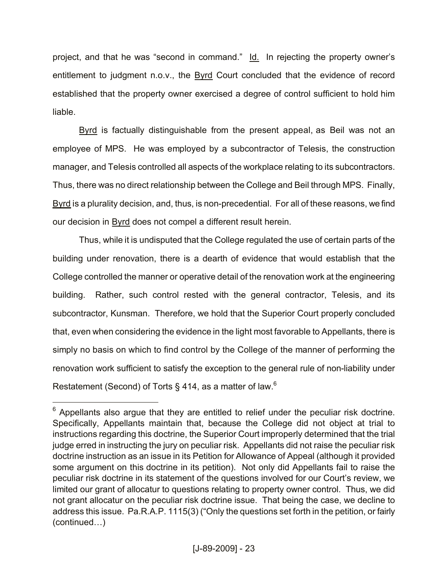project, and that he was "second in command." Id. In rejecting the property owner's entitlement to judgment n.o.v., the **Byrd Court concluded that the evidence of record** established that the property owner exercised a degree of control sufficient to hold him liable.

Byrd is factually distinguishable from the present appeal, as Beil was not an employee of MPS. He was employed by a subcontractor of Telesis, the construction manager, and Telesis controlled all aspects of the workplace relating to its subcontractors. Thus, there was no direct relationship between the College and Beil through MPS. Finally, Byrd is a plurality decision, and, thus, is non-precedential. For all of these reasons, we find our decision in Byrd does not compel a different result herein.

Thus, while it is undisputed that the College regulated the use of certain parts of the building under renovation, there is a dearth of evidence that would establish that the College controlled the manner or operative detail of the renovation work at the engineering building. Rather, such control rested with the general contractor, Telesis, and its subcontractor, Kunsman. Therefore, we hold that the Superior Court properly concluded that, even when considering the evidence in the light most favorable to Appellants, there is simply no basis on which to find control by the College of the manner of performing the renovation work sufficient to satisfy the exception to the general rule of non-liability under Restatement (Second) of Torts § 414, as a matter of law.<sup>6</sup>

 $\overline{a}$ 

 $6$  Appellants also argue that they are entitled to relief under the peculiar risk doctrine. Specifically, Appellants maintain that, because the College did not object at trial to instructions regarding this doctrine, the Superior Court improperly determined that the trial judge erred in instructing the jury on peculiar risk. Appellants did not raise the peculiar risk doctrine instruction as an issue in its Petition for Allowance of Appeal (although it provided some argument on this doctrine in its petition). Not only did Appellants fail to raise the peculiar risk doctrine in its statement of the questions involved for our Court's review, we limited our grant of allocatur to questions relating to property owner control. Thus, we did not grant allocatur on the peculiar risk doctrine issue. That being the case, we decline to address this issue. Pa.R.A.P. 1115(3) ("Only the questions set forth in the petition, or fairly (continued…)